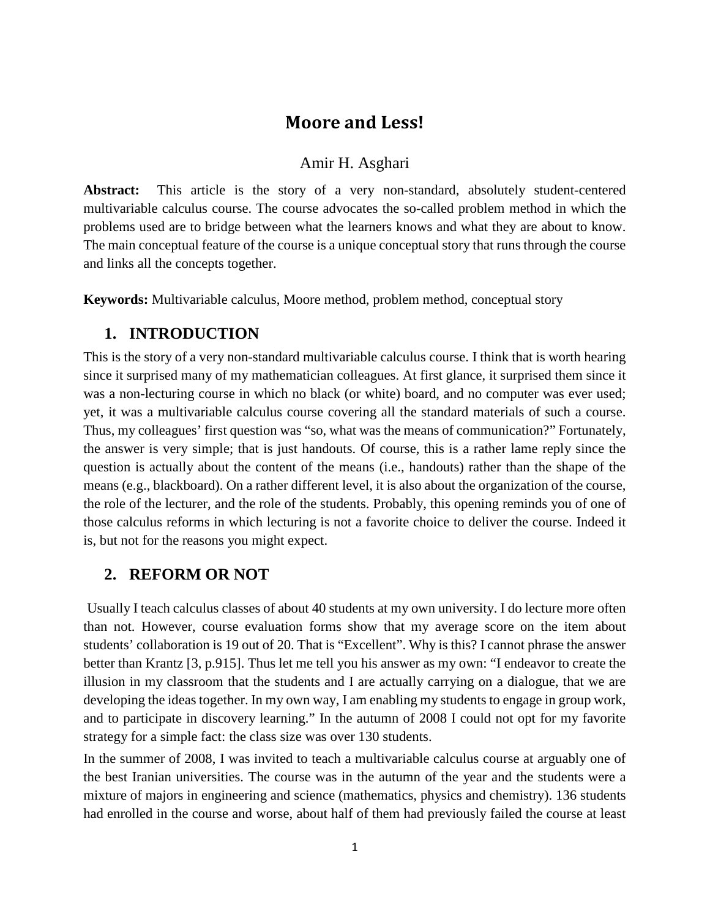# **Moore and Less!**

## Amir H. Asghari

**Abstract:** This article is the story of a very non-standard, absolutely student-centered multivariable calculus course. The course advocates the so-called problem method in which the problems used are to bridge between what the learners knows and what they are about to know. The main conceptual feature of the course is a unique conceptual story that runs through the course and links all the concepts together.

**Keywords:** Multivariable calculus, Moore method, problem method, conceptual story

# **1. INTRODUCTION**

This is the story of a very non-standard multivariable calculus course. I think that is worth hearing since it surprised many of my mathematician colleagues. At first glance, it surprised them since it was a non-lecturing course in which no black (or white) board, and no computer was ever used; yet, it was a multivariable calculus course covering all the standard materials of such a course. Thus, my colleagues' first question was "so, what was the means of communication?" Fortunately, the answer is very simple; that is just handouts. Of course, this is a rather lame reply since the question is actually about the content of the means (i.e., handouts) rather than the shape of the means (e.g., blackboard). On a rather different level, it is also about the organization of the course, the role of the lecturer, and the role of the students. Probably, this opening reminds you of one of those calculus reforms in which lecturing is not a favorite choice to deliver the course. Indeed it is, but not for the reasons you might expect.

# **2. REFORM OR NOT**

Usually I teach calculus classes of about 40 students at my own university. I do lecture more often than not. However, course evaluation forms show that my average score on the item about students' collaboration is 19 out of 20. That is "Excellent". Why is this? I cannot phrase the answer better than Krantz [3, p.915]. Thus let me tell you his answer as my own: "I endeavor to create the illusion in my classroom that the students and I are actually carrying on a dialogue, that we are developing the ideas together. In my own way, I am enabling my students to engage in group work, and to participate in discovery learning." In the autumn of 2008 I could not opt for my favorite strategy for a simple fact: the class size was over 130 students.

In the summer of 2008, I was invited to teach a multivariable calculus course at arguably one of the best Iranian universities. The course was in the autumn of the year and the students were a mixture of majors in engineering and science (mathematics, physics and chemistry). 136 students had enrolled in the course and worse, about half of them had previously failed the course at least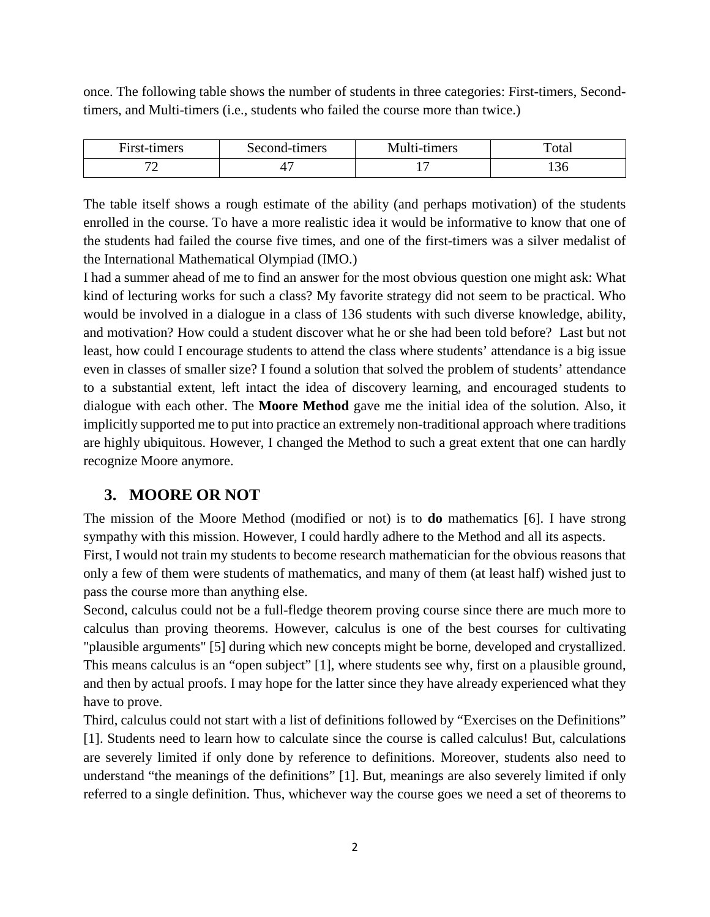once. The following table shows the number of students in three categories: First-timers, Secondtimers, and Multi-timers (i.e., students who failed the course more than twice.)

| First-timers | Second-timers | Multi-timers | ''otai       |
|--------------|---------------|--------------|--------------|
|              | ∼             |              | . F<br>1 J U |

The table itself shows a rough estimate of the ability (and perhaps motivation) of the students enrolled in the course. To have a more realistic idea it would be informative to know that one of the students had failed the course five times, and one of the first-timers was a silver medalist of the International Mathematical Olympiad (IMO.)

I had a summer ahead of me to find an answer for the most obvious question one might ask: What kind of lecturing works for such a class? My favorite strategy did not seem to be practical. Who would be involved in a dialogue in a class of 136 students with such diverse knowledge, ability, and motivation? How could a student discover what he or she had been told before? Last but not least, how could I encourage students to attend the class where students' attendance is a big issue even in classes of smaller size? I found a solution that solved the problem of students' attendance to a substantial extent, left intact the idea of discovery learning, and encouraged students to dialogue with each other. The **Moore Method** gave me the initial idea of the solution. Also, it implicitly supported me to put into practice an extremely non-traditional approach where traditions are highly ubiquitous. However, I changed the Method to such a great extent that one can hardly recognize Moore anymore.

# **3. MOORE OR NOT**

The mission of the Moore Method (modified or not) is to **do** mathematics [6]. I have strong sympathy with this mission. However, I could hardly adhere to the Method and all its aspects. First, I would not train my students to become research mathematician for the obvious reasons that only a few of them were students of mathematics, and many of them (at least half) wished just to pass the course more than anything else.

Second, calculus could not be a full-fledge theorem proving course since there are much more to calculus than proving theorems. However, calculus is one of the best courses for cultivating "plausible arguments" [5] during which new concepts might be borne, developed and crystallized. This means calculus is an "open subject" [1], where students see why, first on a plausible ground, and then by actual proofs. I may hope for the latter since they have already experienced what they have to prove.

Third, calculus could not start with a list of definitions followed by "Exercises on the Definitions" [1]. Students need to learn how to calculate since the course is called calculus! But, calculations are severely limited if only done by reference to definitions. Moreover, students also need to understand "the meanings of the definitions" [1]. But, meanings are also severely limited if only referred to a single definition. Thus, whichever way the course goes we need a set of theorems to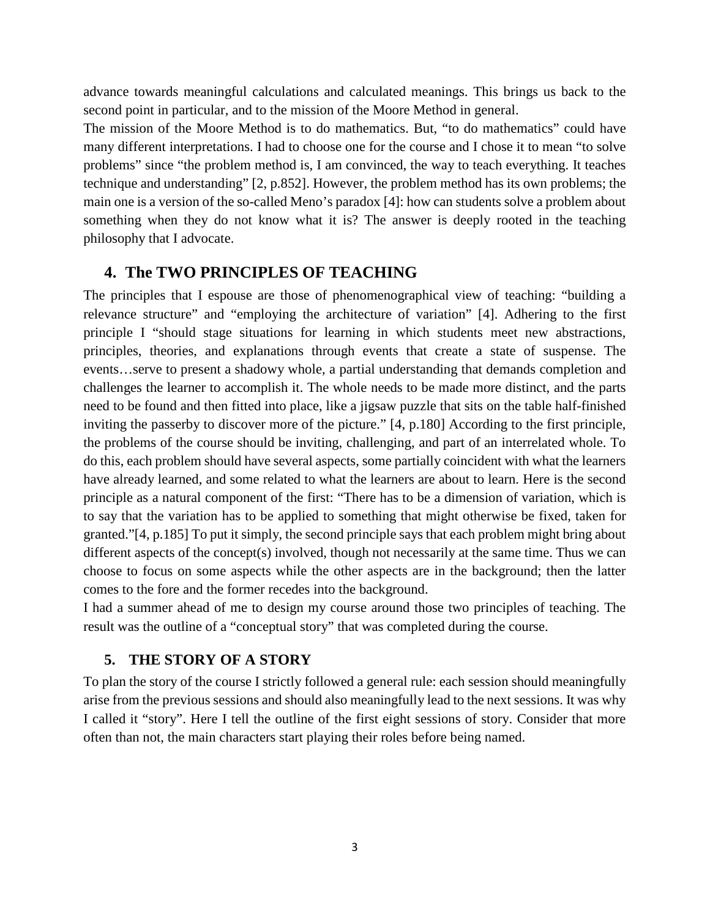advance towards meaningful calculations and calculated meanings. This brings us back to the second point in particular, and to the mission of the Moore Method in general.

The mission of the Moore Method is to do mathematics. But, "to do mathematics" could have many different interpretations. I had to choose one for the course and I chose it to mean "to solve problems" since "the problem method is, I am convinced, the way to teach everything. It teaches technique and understanding" [2, p.852]. However, the problem method has its own problems; the main one is a version of the so-called Meno's paradox [4]: how can students solve a problem about something when they do not know what it is? The answer is deeply rooted in the teaching philosophy that I advocate.

## **4. The TWO PRINCIPLES OF TEACHING**

The principles that I espouse are those of phenomenographical view of teaching: "building a relevance structure" and "employing the architecture of variation" [4]. Adhering to the first principle I "should stage situations for learning in which students meet new abstractions, principles, theories, and explanations through events that create a state of suspense. The events…serve to present a shadowy whole, a partial understanding that demands completion and challenges the learner to accomplish it. The whole needs to be made more distinct, and the parts need to be found and then fitted into place, like a jigsaw puzzle that sits on the table half-finished inviting the passerby to discover more of the picture." [4, p.180] According to the first principle, the problems of the course should be inviting, challenging, and part of an interrelated whole. To do this, each problem should have several aspects, some partially coincident with what the learners have already learned, and some related to what the learners are about to learn. Here is the second principle as a natural component of the first: "There has to be a dimension of variation, which is to say that the variation has to be applied to something that might otherwise be fixed, taken for granted."[4, p.185] To put it simply, the second principle says that each problem might bring about different aspects of the concept(s) involved, though not necessarily at the same time. Thus we can choose to focus on some aspects while the other aspects are in the background; then the latter comes to the fore and the former recedes into the background.

I had a summer ahead of me to design my course around those two principles of teaching. The result was the outline of a "conceptual story" that was completed during the course.

## **5. THE STORY OF A STORY**

To plan the story of the course I strictly followed a general rule: each session should meaningfully arise from the previous sessions and should also meaningfully lead to the next sessions. It was why I called it "story". Here I tell the outline of the first eight sessions of story. Consider that more often than not, the main characters start playing their roles before being named.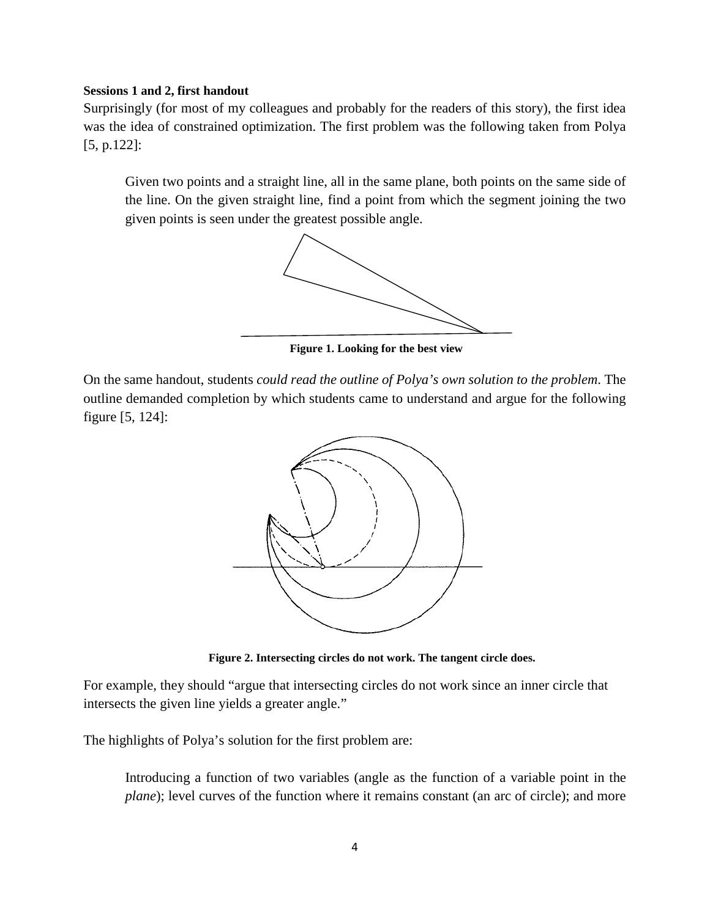## **Sessions 1 and 2, first handout**

Surprisingly (for most of my colleagues and probably for the readers of this story), the first idea was the idea of constrained optimization. The first problem was the following taken from Polya [5, p.122]:

Given two points and a straight line, all in the same plane, both points on the same side of the line. On the given straight line, find a point from which the segment joining the two given points is seen under the greatest possible angle.



**Figure 1. Looking for the best view**

On the same handout, students *could read the outline of Polya's own solution to the problem*. The outline demanded completion by which students came to understand and argue for the following figure [5, 124]:



**Figure 2. Intersecting circles do not work. The tangent circle does.**

For example, they should "argue that intersecting circles do not work since an inner circle that intersects the given line yields a greater angle."

The highlights of Polya's solution for the first problem are:

Introducing a function of two variables (angle as the function of a variable point in the *plane*); level curves of the function where it remains constant (an arc of circle); and more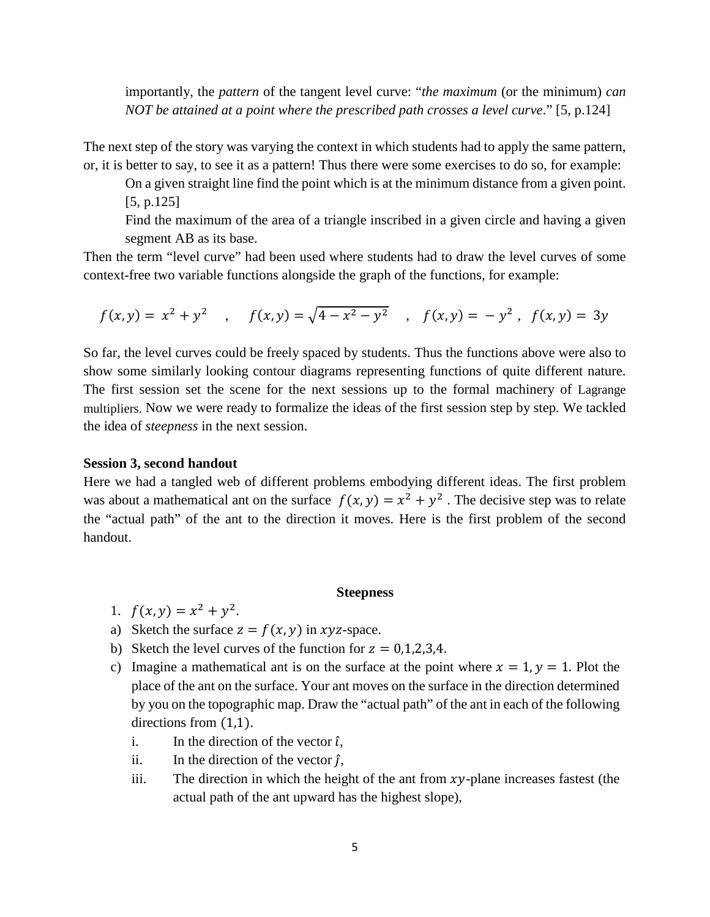importantly, the *pattern* of the tangent level curve: "*the maximum* (or the minimum) *can NOT be attained at a point where the prescribed path crosses a level curve*." [5, p.124]

The next step of the story was varying the context in which students had to apply the same pattern, or, it is better to say, to see it as a pattern! Thus there were some exercises to do so, for example:

On a given straight line find the point which is at the minimum distance from a given point. [5, p.125]

Find the maximum of the area of a triangle inscribed in a given circle and having a given segment AB as its base.

Then the term "level curve" had been used where students had to draw the level curves of some context-free two variable functions alongside the graph of the functions, for example:

$$
f(x,y) = x^2 + y^2
$$
,  $f(x,y) = \sqrt{4 - x^2 - y^2}$ ,  $f(x,y) = -y^2$ ,  $f(x,y) = 3y$ 

So far, the level curves could be freely spaced by students. Thus the functions above were also to show some similarly looking contour diagrams representing functions of quite different nature. The first session set the scene for the next sessions up to the formal machinery of Lagrange multipliers. Now we were ready to formalize the ideas of the first session step by step. We tackled the idea of *steepness* in the next session.

## **Session 3, second handout**

Here we had a tangled web of different problems embodying different ideas. The first problem was about a mathematical ant on the surface  $f(x, y) = x^2 + y^2$ . The decisive step was to relate the "actual path" of the ant to the direction it moves. Here is the first problem of the second handout.

#### **Steepness**

- 1.  $f(x, y) = x^2 + y^2$ .
- a) Sketch the surface  $z = f(x, y)$  in xyz-space.
- b) Sketch the level curves of the function for  $z = 0,1,2,3,4$ .
- c) Imagine a mathematical ant is on the surface at the point where  $x = 1$ ,  $y = 1$ . Plot the place of the ant on the surface. Your ant moves on the surface in the direction determined by you on the topographic map. Draw the "actual path" of the ant in each of the following directions from (1,1).
	- i. In the direction of the vector  $\hat{i}$ ,
	- ii. In the direction of the vector  $\hat{i}$ ,
	- iii. The direction in which the height of the ant from  $xy$ -plane increases fastest (the actual path of the ant upward has the highest slope),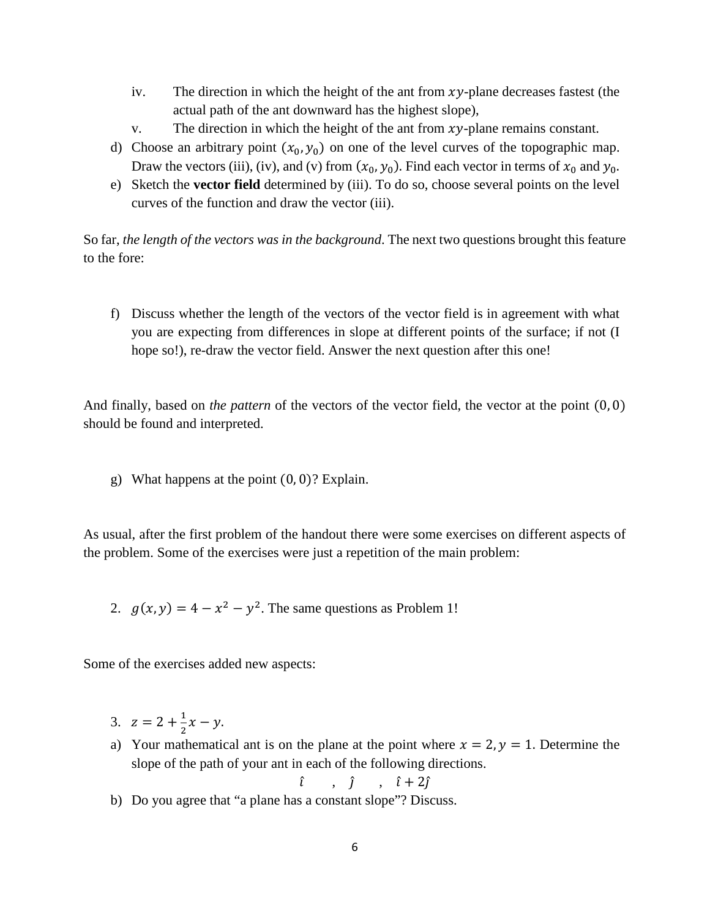- iv. The direction in which the height of the ant from  $xy$ -plane decreases fastest (the actual path of the ant downward has the highest slope),
- v. The direction in which the height of the ant from  $xy$ -plane remains constant.
- d) Choose an arbitrary point  $(x_0, y_0)$  on one of the level curves of the topographic map. Draw the vectors (iii), (iv), and (v) from  $(x_0, y_0)$ . Find each vector in terms of  $x_0$  and  $y_0$ .
- e) Sketch the **vector field** determined by (iii). To do so, choose several points on the level curves of the function and draw the vector (iii).

So far, *the length of the vectors was in the background*. The next two questions brought this feature to the fore:

f) Discuss whether the length of the vectors of the vector field is in agreement with what you are expecting from differences in slope at different points of the surface; if not (I hope so!), re-draw the vector field. Answer the next question after this one!

And finally, based on *the pattern* of the vectors of the vector field, the vector at the point (0, 0) should be found and interpreted.

g) What happens at the point  $(0, 0)$ ? Explain.

As usual, after the first problem of the handout there were some exercises on different aspects of the problem. Some of the exercises were just a repetition of the main problem:

2.  $g(x, y) = 4 - x^2 - y^2$ . The same questions as Problem 1!

Some of the exercises added new aspects:

- 3.  $z = 2 + \frac{1}{2}x y$ .
- a) Your mathematical ant is on the plane at the point where  $x = 2$ ,  $y = 1$ . Determine the slope of the path of your ant in each of the following directions.

$$
\hat{i} \qquad , \quad \hat{j} \qquad , \quad \hat{i} + 2\hat{j}
$$

b) Do you agree that "a plane has a constant slope"? Discuss.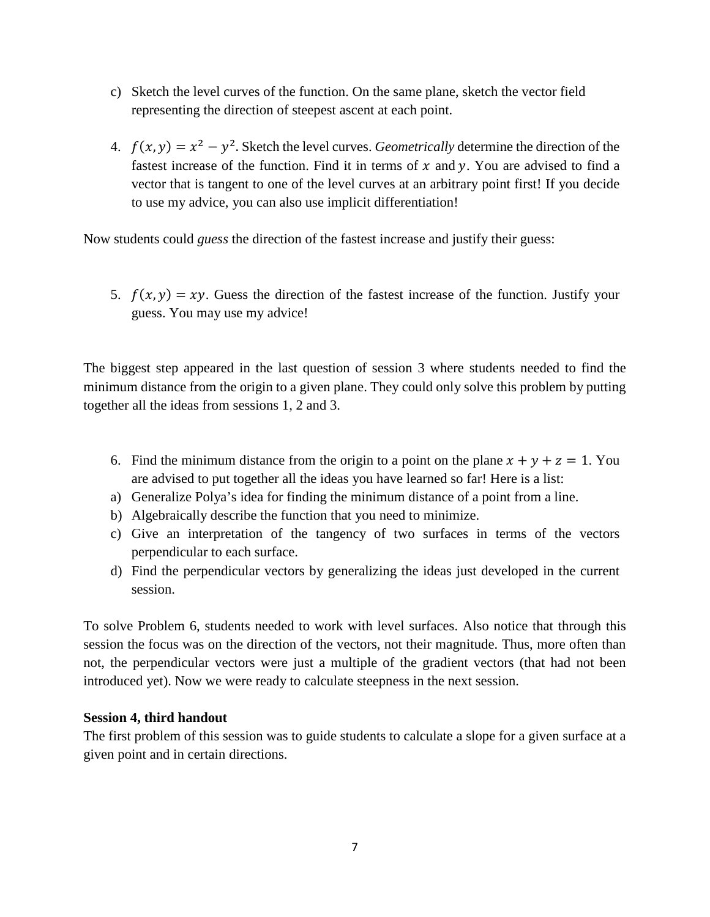- c) Sketch the level curves of the function. On the same plane, sketch the vector field representing the direction of steepest ascent at each point.
- 4.  $f(x, y) = x^2 y^2$ . Sketch the level curves. *Geometrically* determine the direction of the fastest increase of the function. Find it in terms of  $x$  and  $y$ . You are advised to find a vector that is tangent to one of the level curves at an arbitrary point first! If you decide to use my advice, you can also use implicit differentiation!

Now students could *guess* the direction of the fastest increase and justify their guess:

5.  $f(x, y) = xy$ . Guess the direction of the fastest increase of the function. Justify your guess. You may use my advice!

The biggest step appeared in the last question of session 3 where students needed to find the minimum distance from the origin to a given plane. They could only solve this problem by putting together all the ideas from sessions 1, 2 and 3.

- 6. Find the minimum distance from the origin to a point on the plane  $x + y + z = 1$ . You are advised to put together all the ideas you have learned so far! Here is a list:
- a) Generalize Polya's idea for finding the minimum distance of a point from a line.
- b) Algebraically describe the function that you need to minimize.
- c) Give an interpretation of the tangency of two surfaces in terms of the vectors perpendicular to each surface.
- d) Find the perpendicular vectors by generalizing the ideas just developed in the current session.

To solve Problem 6, students needed to work with level surfaces. Also notice that through this session the focus was on the direction of the vectors, not their magnitude. Thus, more often than not, the perpendicular vectors were just a multiple of the gradient vectors (that had not been introduced yet). Now we were ready to calculate steepness in the next session.

## **Session 4, third handout**

The first problem of this session was to guide students to calculate a slope for a given surface at a given point and in certain directions.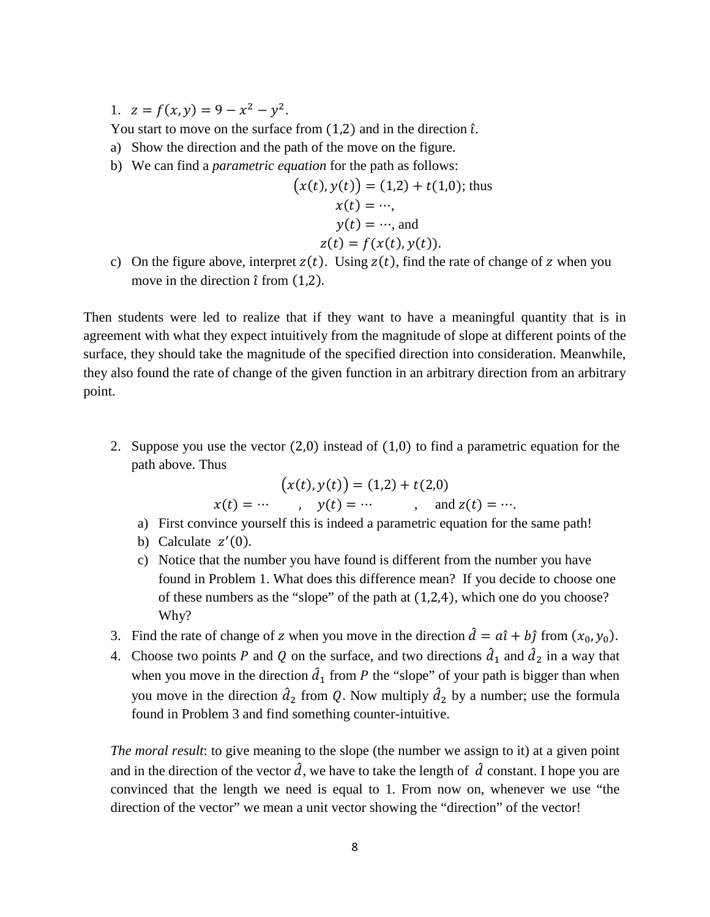1.  $z = f(x, y) = 9 - x^2 - y^2$ .

You start to move on the surface from  $(1,2)$  and in the direction  $\hat{\iota}$ .

- a) Show the direction and the path of the move on the figure.
- b) We can find a *parametric equation* for the path as follows:

$$
(x(t), y(t)) = (1,2) + t(1,0); \text{ thus } x(t) = \dots, \ny(t) = \dots, \text{ and } z(t) = f(x(t), y(t)).
$$

c) On the figure above, interpret  $z(t)$ . Using  $z(t)$ , find the rate of change of z when you move in the direction  $\hat{i}$  from (1,2).

Then students were led to realize that if they want to have a meaningful quantity that is in agreement with what they expect intuitively from the magnitude of slope at different points of the surface, they should take the magnitude of the specified direction into consideration. Meanwhile, they also found the rate of change of the given function in an arbitrary direction from an arbitrary point.

2. Suppose you use the vector (2,0) instead of (1,0) to find a parametric equation for the path above. Thus

$$
(x(t), y(t)) = (1,2) + t(2,0)
$$
  
  $x(t) = \cdots$ ,  $y(t) = \cdots$ , and  $z(t) = \cdots$ .

- a) First convince yourself this is indeed a parametric equation for the same path!
- b) Calculate  $z'(0)$ .
- c) Notice that the number you have found is different from the number you have found in Problem 1. What does this difference mean? If you decide to choose one of these numbers as the "slope" of the path at (1,2,4), which one do you choose? Why?
- 3. Find the rate of change of z when you move in the direction  $\hat{d} = a\hat{i} + b\hat{j}$  from  $(x_0, y_0)$ .
- 4. Choose two points P and Q on the surface, and two directions  $\hat{d}_1$  and  $\hat{d}_2$  in a way that when you move in the direction  $\hat{d}_1$  from P the "slope" of your path is bigger than when you move in the direction  $\hat{d}_2$  from Q. Now multiply  $\hat{d}_2$  by a number; use the formula found in Problem 3 and find something counter-intuitive.

*The moral result*: to give meaning to the slope (the number we assign to it) at a given point and in the direction of the vector  $\hat{d}$ , we have to take the length of  $\hat{d}$  constant. I hope you are convinced that the length we need is equal to 1. From now on, whenever we use "the direction of the vector" we mean a unit vector showing the "direction" of the vector!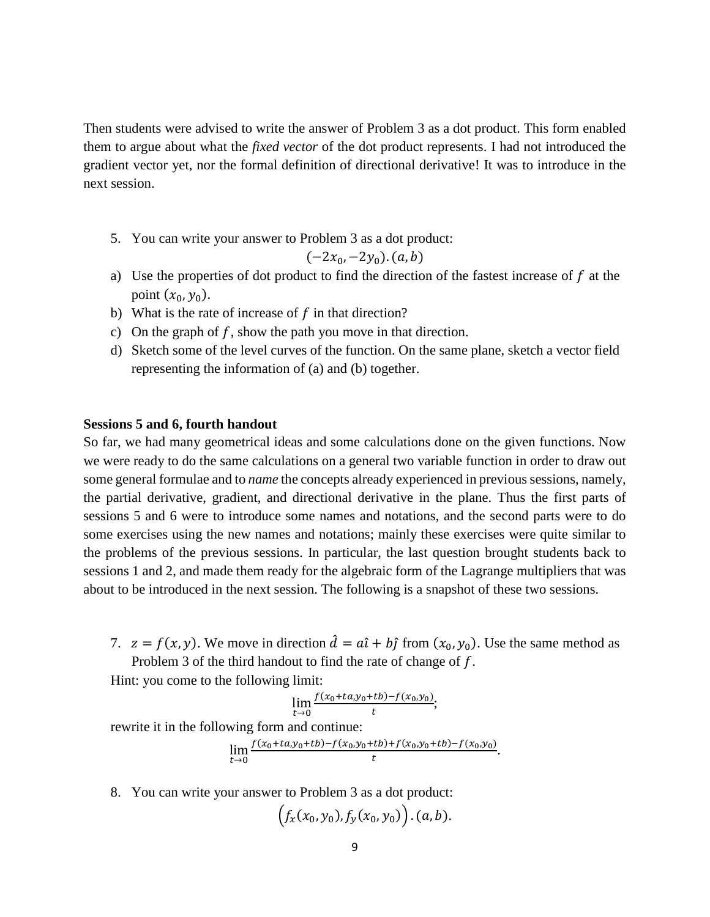Then students were advised to write the answer of Problem 3 as a dot product. This form enabled them to argue about what the *fixed vector* of the dot product represents. I had not introduced the gradient vector yet, nor the formal definition of directional derivative! It was to introduce in the next session.

5. You can write your answer to Problem 3 as a dot product:

$$
(-2x_0, -2y_0). (a, b)
$$

- a) Use the properties of dot product to find the direction of the fastest increase of  $f$  at the point  $(x_0, y_0)$ .
- b) What is the rate of increase of  $f$  in that direction?
- c) On the graph of  $f$ , show the path you move in that direction.
- d) Sketch some of the level curves of the function. On the same plane, sketch a vector field representing the information of (a) and (b) together.

#### **Sessions 5 and 6, fourth handout**

So far, we had many geometrical ideas and some calculations done on the given functions. Now we were ready to do the same calculations on a general two variable function in order to draw out some general formulae and to *name* the concepts already experienced in previous sessions, namely, the partial derivative, gradient, and directional derivative in the plane. Thus the first parts of sessions 5 and 6 were to introduce some names and notations, and the second parts were to do some exercises using the new names and notations; mainly these exercises were quite similar to the problems of the previous sessions. In particular, the last question brought students back to sessions 1 and 2, and made them ready for the algebraic form of the Lagrange multipliers that was about to be introduced in the next session. The following is a snapshot of these two sessions.

7.  $z = f(x, y)$ . We move in direction  $\hat{d} = a\hat{i} + b\hat{j}$  from  $(x_0, y_0)$ . Use the same method as Problem 3 of the third handout to find the rate of change of f.

Hint: you come to the following limit:

$$
\lim_{t \to 0} \frac{f(x_0 + ta, y_0 + tb) - f(x_0, y_0)}{t};
$$

rewrite it in the following form and continue:

$$
\lim_{t\to 0}\frac{f(x_0+ta,y_0+tb)-f(x_0,y_0+tb)+f(x_0,y_0+tb)-f(x_0,y_0)}{t}.
$$

8. You can write your answer to Problem 3 as a dot product:

$$
(f_x(x_0, y_0), f_y(x_0, y_0)) \cdot (a, b).
$$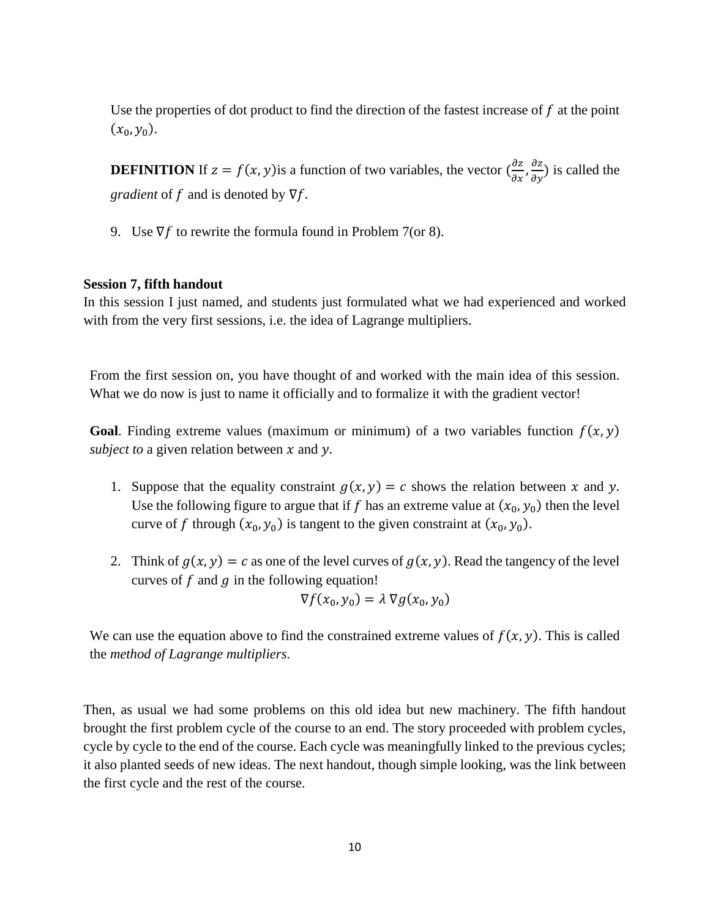Use the properties of dot product to find the direction of the fastest increase of  $f$  at the point  $(x_0, y_0)$ .

**DEFINITION** If  $z = f(x, y)$  is a function of two variables, the vector  $\left(\frac{\partial z}{\partial x}, \frac{\partial z}{\partial y}\right)$  is called the *gradient* of  $f$  and is denoted by  $\nabla f$ .

9. Use  $\nabla f$  to rewrite the formula found in Problem 7(or 8).

## **Session 7, fifth handout**

In this session I just named, and students just formulated what we had experienced and worked with from the very first sessions, i.e. the idea of Lagrange multipliers.

From the first session on, you have thought of and worked with the main idea of this session. What we do now is just to name it officially and to formalize it with the gradient vector!

**Goal.** Finding extreme values (maximum or minimum) of a two variables function  $f(x, y)$ *subject to* a given relation between  $x$  and  $y$ .

- 1. Suppose that the equality constraint  $g(x, y) = c$  shows the relation between x and y. Use the following figure to argue that if f has an extreme value at  $(x_0, y_0)$  then the level curve of f through  $(x_0, y_0)$  is tangent to the given constraint at  $(x_0, y_0)$ .
- 2. Think of  $g(x, y) = c$  as one of the level curves of  $g(x, y)$ . Read the tangency of the level curves of  $f$  and  $g$  in the following equation!

$$
\nabla f(x_0, y_0) = \lambda \nabla g(x_0, y_0)
$$

We can use the equation above to find the constrained extreme values of  $f(x, y)$ . This is called the *method of Lagrange multipliers*.

Then, as usual we had some problems on this old idea but new machinery. The fifth handout brought the first problem cycle of the course to an end. The story proceeded with problem cycles, cycle by cycle to the end of the course. Each cycle was meaningfully linked to the previous cycles; it also planted seeds of new ideas. The next handout, though simple looking, was the link between the first cycle and the rest of the course.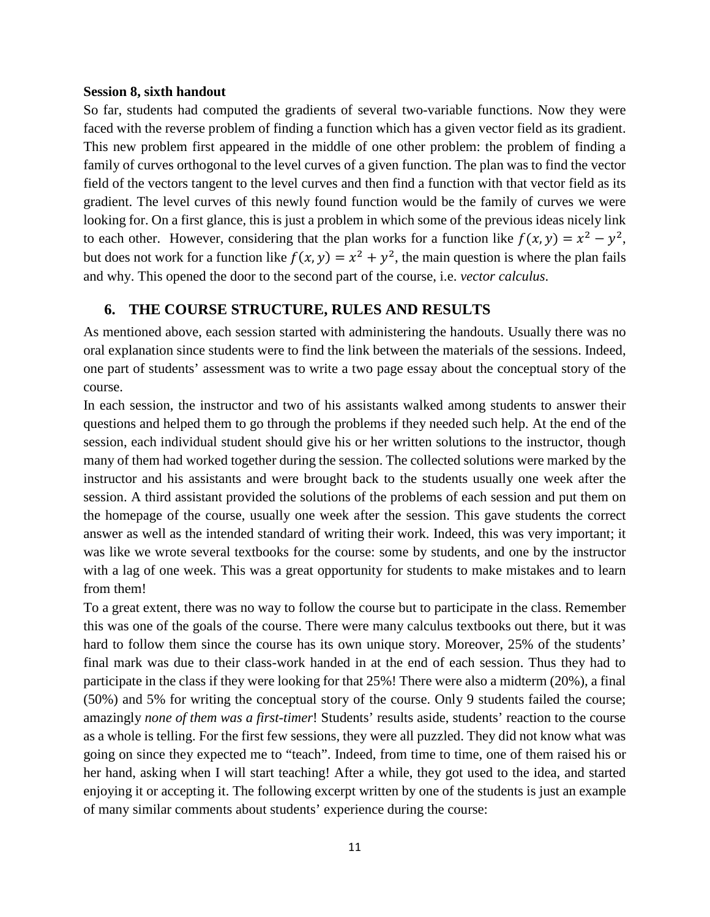#### **Session 8, sixth handout**

So far, students had computed the gradients of several two-variable functions. Now they were faced with the reverse problem of finding a function which has a given vector field as its gradient. This new problem first appeared in the middle of one other problem: the problem of finding a family of curves orthogonal to the level curves of a given function. The plan was to find the vector field of the vectors tangent to the level curves and then find a function with that vector field as its gradient. The level curves of this newly found function would be the family of curves we were looking for. On a first glance, this is just a problem in which some of the previous ideas nicely link to each other. However, considering that the plan works for a function like  $f(x, y) = x^2 - y^2$ , but does not work for a function like  $f(x, y) = x^2 + y^2$ , the main question is where the plan fails and why. This opened the door to the second part of the course, i.e. *vector calculus*.

## **6. THE COURSE STRUCTURE, RULES AND RESULTS**

As mentioned above, each session started with administering the handouts. Usually there was no oral explanation since students were to find the link between the materials of the sessions. Indeed, one part of students' assessment was to write a two page essay about the conceptual story of the course.

In each session, the instructor and two of his assistants walked among students to answer their questions and helped them to go through the problems if they needed such help. At the end of the session, each individual student should give his or her written solutions to the instructor, though many of them had worked together during the session. The collected solutions were marked by the instructor and his assistants and were brought back to the students usually one week after the session. A third assistant provided the solutions of the problems of each session and put them on the homepage of the course, usually one week after the session. This gave students the correct answer as well as the intended standard of writing their work. Indeed, this was very important; it was like we wrote several textbooks for the course: some by students, and one by the instructor with a lag of one week. This was a great opportunity for students to make mistakes and to learn from them!

To a great extent, there was no way to follow the course but to participate in the class. Remember this was one of the goals of the course. There were many calculus textbooks out there, but it was hard to follow them since the course has its own unique story. Moreover, 25% of the students' final mark was due to their class-work handed in at the end of each session. Thus they had to participate in the class if they were looking for that 25%! There were also a midterm (20%), a final (50%) and 5% for writing the conceptual story of the course. Only 9 students failed the course; amazingly *none of them was a first-timer*! Students' results aside, students' reaction to the course as a whole is telling. For the first few sessions, they were all puzzled. They did not know what was going on since they expected me to "teach". Indeed, from time to time, one of them raised his or her hand, asking when I will start teaching! After a while, they got used to the idea, and started enjoying it or accepting it. The following excerpt written by one of the students is just an example of many similar comments about students' experience during the course: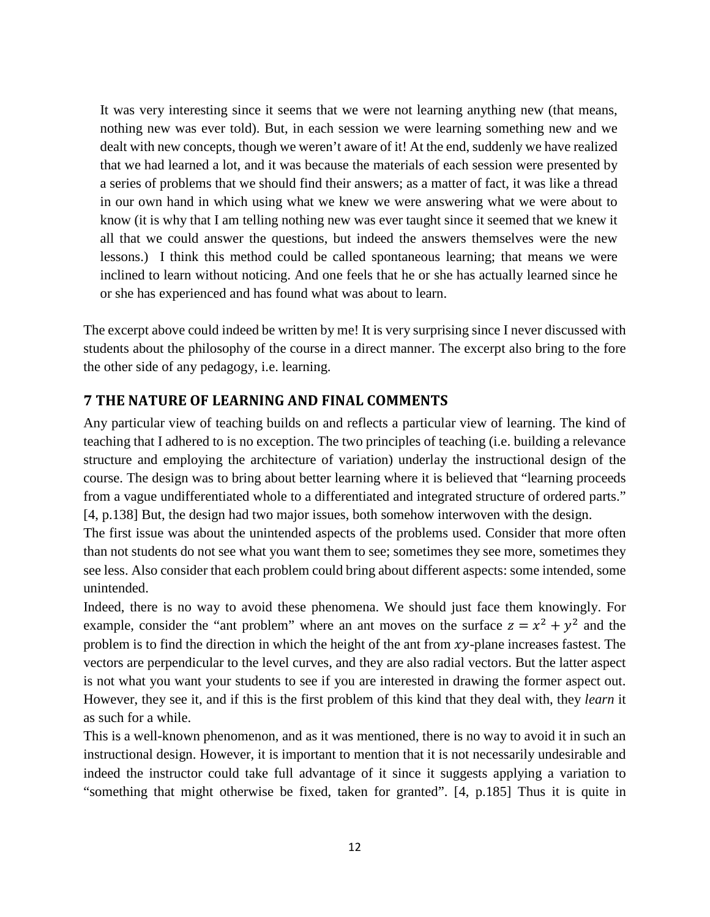It was very interesting since it seems that we were not learning anything new (that means, nothing new was ever told). But, in each session we were learning something new and we dealt with new concepts, though we weren't aware of it! At the end, suddenly we have realized that we had learned a lot, and it was because the materials of each session were presented by a series of problems that we should find their answers; as a matter of fact, it was like a thread in our own hand in which using what we knew we were answering what we were about to know (it is why that I am telling nothing new was ever taught since it seemed that we knew it all that we could answer the questions, but indeed the answers themselves were the new lessons.) I think this method could be called spontaneous learning; that means we were inclined to learn without noticing. And one feels that he or she has actually learned since he or she has experienced and has found what was about to learn.

The excerpt above could indeed be written by me! It is very surprising since I never discussed with students about the philosophy of the course in a direct manner. The excerpt also bring to the fore the other side of any pedagogy, i.e. learning.

# **7 THE NATURE OF LEARNING AND FINAL COMMENTS**

Any particular view of teaching builds on and reflects a particular view of learning. The kind of teaching that I adhered to is no exception. The two principles of teaching (i.e. building a relevance structure and employing the architecture of variation) underlay the instructional design of the course. The design was to bring about better learning where it is believed that "learning proceeds from a vague undifferentiated whole to a differentiated and integrated structure of ordered parts." [4, p.138] But, the design had two major issues, both somehow interwoven with the design.

The first issue was about the unintended aspects of the problems used. Consider that more often than not students do not see what you want them to see; sometimes they see more, sometimes they see less. Also consider that each problem could bring about different aspects: some intended, some unintended.

Indeed, there is no way to avoid these phenomena. We should just face them knowingly. For example, consider the "ant problem" where an ant moves on the surface  $z = x^2 + y^2$  and the problem is to find the direction in which the height of the ant from  $xy$ -plane increases fastest. The vectors are perpendicular to the level curves, and they are also radial vectors. But the latter aspect is not what you want your students to see if you are interested in drawing the former aspect out. However, they see it, and if this is the first problem of this kind that they deal with, they *learn* it as such for a while.

This is a well-known phenomenon, and as it was mentioned, there is no way to avoid it in such an instructional design. However, it is important to mention that it is not necessarily undesirable and indeed the instructor could take full advantage of it since it suggests applying a variation to "something that might otherwise be fixed, taken for granted". [4, p.185] Thus it is quite in